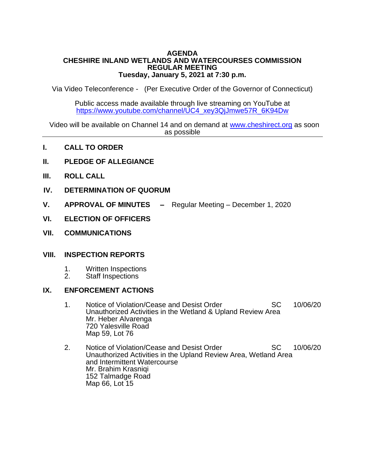#### **AGENDA CHESHIRE INLAND WETLANDS AND WATERCOURSES COMMISSION REGULAR MEETING Tuesday, January 5, 2021 at 7:30 p.m.**

Via Video Teleconference - (Per Executive Order of the Governor of Connecticut)

Public access made available through live streaming on YouTube at [https://www.youtube.com/channel/UC4\\_xey3QjJmwe57R\\_6K94Dw](https://www.youtube.com/channel/UC4_xey3QjJmwe57R_6K94Dw)

Video will be available on Channel 14 and on demand at [www.cheshirect.org](http://www.cheshirect.org/) as soon as possible

- **I. CALL TO ORDER**
- **II. PLEDGE OF ALLEGIANCE**
- **III. ROLL CALL**
- **IV. DETERMINATION OF QUORUM**
- **V. APPROVAL OF MINUTES –** Regular Meeting December 1, 2020
- **VI. ELECTION OF OFFICERS**
- **VII. COMMUNICATIONS**

### **VIII. INSPECTION REPORTS**

- 1. Written Inspections<br>2. Staff Inspections
- Staff Inspections

### **IX. ENFORCEMENT ACTIONS**

- 1. Notice of Violation/Cease and Desist Order SC 10/06/20 Unauthorized Activities in the Wetland & Upland Review Area Mr. Heber Alvarenga 720 Yalesville Road Map 59, Lot 76
- 2. Notice of Violation/Cease and Desist Order SC 10/06/20 Unauthorized Activities in the Upland Review Area, Wetland Area and Intermittent Watercourse Mr. Brahim Krasniqi 152 Talmadge Road Map 66, Lot 15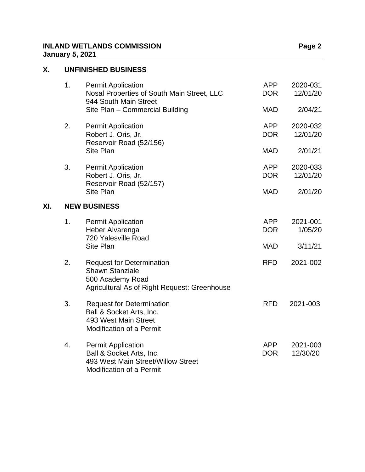## **INLAND WETLANDS COMMISSION Page 2 January 5, 2021**

# **X. UNFINISHED BUSINESS**

**XI. NEW BUSINESS**

| 1.                  | <b>Permit Application</b><br>Nosal Properties of South Main Street, LLC<br>944 South Main Street<br>Site Plan - Commercial Building | <b>APP</b><br><b>DOR</b><br><b>MAD</b> | 2020-031<br>12/01/20<br>2/04/21 |  |  |
|---------------------|-------------------------------------------------------------------------------------------------------------------------------------|----------------------------------------|---------------------------------|--|--|
| 2.                  | <b>Permit Application</b><br>Robert J. Oris, Jr.<br>Reservoir Road (52/156)<br>Site Plan                                            | <b>APP</b><br><b>DOR</b><br><b>MAD</b> | 2020-032<br>12/01/20<br>2/01/21 |  |  |
| 3.                  | <b>Permit Application</b><br>Robert J. Oris, Jr.<br>Reservoir Road (52/157)<br>Site Plan                                            | <b>APP</b><br><b>DOR</b><br><b>MAD</b> | 2020-033<br>12/01/20<br>2/01/20 |  |  |
| <b>NEW BUSINESS</b> |                                                                                                                                     |                                        |                                 |  |  |
| 1.                  | <b>Permit Application</b><br>Heber Alvarenga<br>720 Yalesville Road                                                                 | <b>APP</b><br><b>DOR</b>               | 2021-001<br>1/05/20             |  |  |
|                     | Site Plan                                                                                                                           | <b>MAD</b>                             | 3/11/21                         |  |  |
| 2.                  | <b>Request for Determination</b><br><b>Shawn Stanziale</b><br>500 Academy Road<br>Agricultural As of Right Request: Greenhouse      | <b>RFD</b>                             | 2021-002                        |  |  |
| 3.                  | <b>Request for Determination</b><br>Ball & Socket Arts, Inc.<br>493 West Main Street<br><b>Modification of a Permit</b>             | <b>RFD</b>                             | 2021-003                        |  |  |
| 4.                  | <b>Permit Application</b><br>Ball & Socket Arts, Inc.<br>493 West Main Street/Willow Street<br><b>Modification of a Permit</b>      | <b>APP</b><br><b>DOR</b>               | 2021-003<br>12/30/20            |  |  |